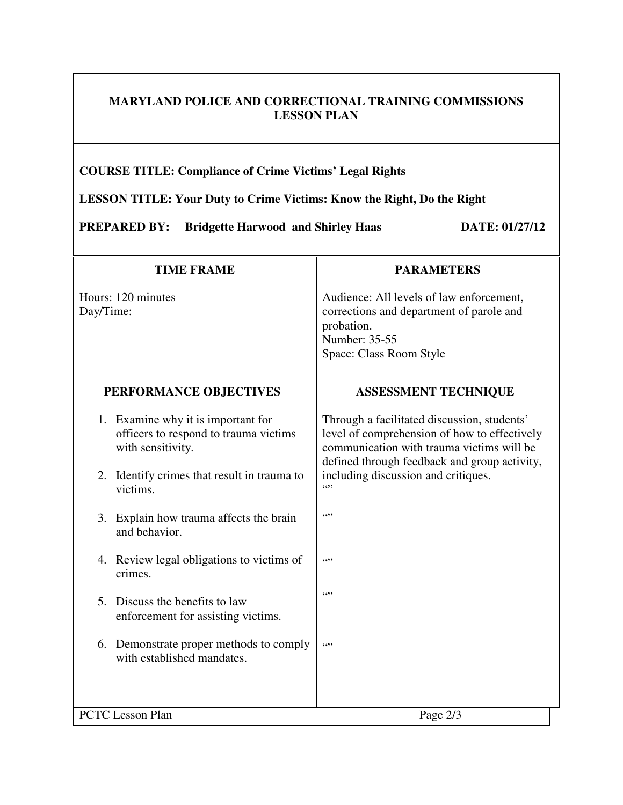## **MARYLAND POLICE AND CORRECTIONAL TRAINING COMMISSIONS LESSON PLAN**

## **COURSE TITLE: Compliance of Crime Victims' Legal Rights**

**LESSON TITLE: Your Duty to Crime Victims: Know the Right, Do the Right** 

**PREPARED BY: Bridgette Harwood and Shirley Haas DATE: 01/27/12** 

| <b>TIME FRAME</b>                                                                                | <b>PARAMETERS</b>                                                                                                                                                                        |
|--------------------------------------------------------------------------------------------------|------------------------------------------------------------------------------------------------------------------------------------------------------------------------------------------|
| Hours: 120 minutes<br>Day/Time:                                                                  | Audience: All levels of law enforcement,<br>corrections and department of parole and<br>probation.<br>Number: 35-55<br>Space: Class Room Style                                           |
| PERFORMANCE OBJECTIVES                                                                           | <b>ASSESSMENT TECHNIQUE</b>                                                                                                                                                              |
| 1. Examine why it is important for<br>officers to respond to trauma victims<br>with sensitivity. | Through a facilitated discussion, students'<br>level of comprehension of how to effectively<br>communication with trauma victims will be<br>defined through feedback and group activity, |
| Identify crimes that result in trauma to<br>2.<br>victims.                                       | including discussion and critiques.<br>$\epsilon$                                                                                                                                        |
| Explain how trauma affects the brain<br>3.<br>and behavior.                                      | 6599                                                                                                                                                                                     |
| 4. Review legal obligations to victims of<br>crimes.                                             | 6522                                                                                                                                                                                     |
| Discuss the benefits to law<br>5.<br>enforcement for assisting victims.                          | 6599                                                                                                                                                                                     |
| Demonstrate proper methods to comply<br>6.<br>with established mandates.                         | (4)                                                                                                                                                                                      |
| <b>PCTC</b> Lesson Plan                                                                          | Page 2/3                                                                                                                                                                                 |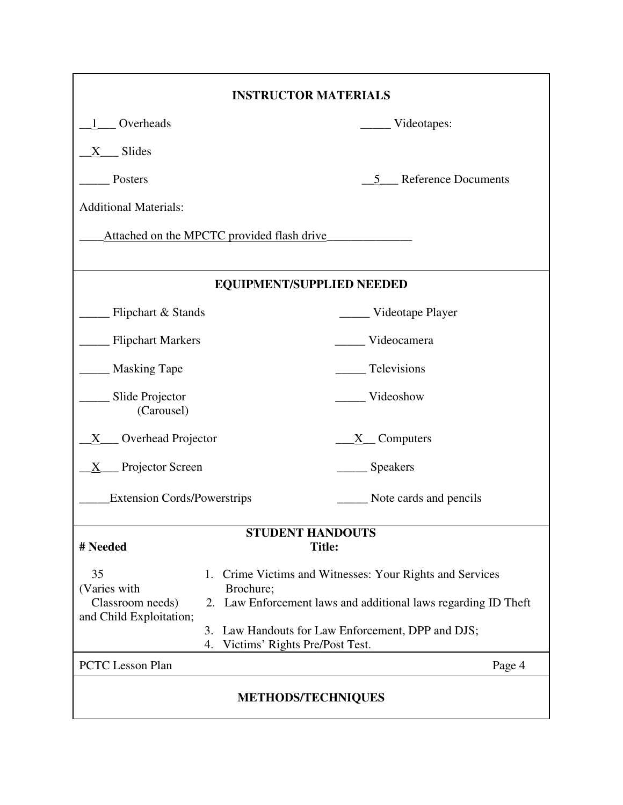| <b>INSTRUCTOR MATERIALS</b>                 |                                                                                           |  |
|---------------------------------------------|-------------------------------------------------------------------------------------------|--|
| Overheads                                   | Videotapes:                                                                               |  |
| Slides<br>Χ                                 |                                                                                           |  |
| Posters                                     | <b>Reference Documents</b><br>5                                                           |  |
| <b>Additional Materials:</b>                |                                                                                           |  |
|                                             | Attached on the MPCTC provided flash drive                                                |  |
|                                             |                                                                                           |  |
|                                             | <b>EQUIPMENT/SUPPLIED NEEDED</b>                                                          |  |
| Flipchart & Stands                          | Videotape Player                                                                          |  |
| <b>Flipchart Markers</b>                    | Videocamera                                                                               |  |
| <b>Masking Tape</b>                         | Televisions                                                                               |  |
| Slide Projector<br>(Carousel)               | Videoshow                                                                                 |  |
| Overhead Projector<br>X                     | $\underline{X}$ Computers                                                                 |  |
| Projector Screen<br>Χ                       | Speakers                                                                                  |  |
| <b>Extension Cords/Powerstrips</b>          | Note cards and pencils                                                                    |  |
| <b>STUDENT HANDOUTS</b>                     |                                                                                           |  |
| # Needed                                    | <b>Title:</b>                                                                             |  |
| 35<br>(Varies with                          | 1. Crime Victims and Witnesses: Your Rights and Services<br>Brochure;                     |  |
| Classroom needs)<br>and Child Exploitation; | 2. Law Enforcement laws and additional laws regarding ID Theft                            |  |
|                                             | 3. Law Handouts for Law Enforcement, DPP and DJS;<br>Victims' Rights Pre/Post Test.<br>4. |  |
| <b>PCTC</b> Lesson Plan                     | Page 4                                                                                    |  |
| <b>METHODS/TECHNIQUES</b>                   |                                                                                           |  |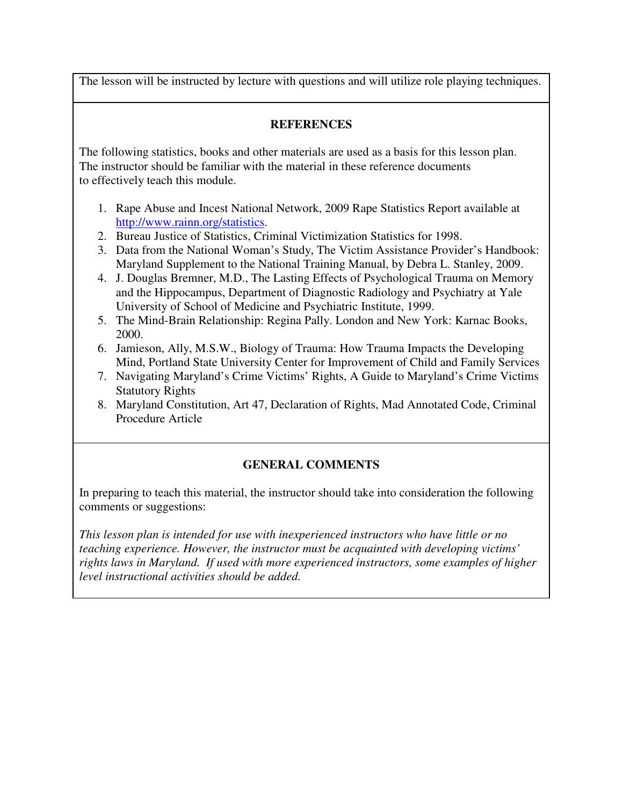The lesson will be instructed by lecture with questions and will utilize role playing techniques.

#### **REFERENCES**

The following statistics, books and other materials are used as a basis for this lesson plan. The instructor should be familiar with the material in these reference documents to effectively teach this module.

- 1. Rape Abuse and Incest National Network, 2009 Rape Statistics Report available at http://www.rainn.org/statistics.
- 2. Bureau Justice of Statistics, Criminal Victimization Statistics for 1998.
- 3. Data from the National Woman's Study, The Victim Assistance Provider's Handbook: Maryland Supplement to the National Training Manual, by Debra L. Stanley, 2009.
- 4. J. Douglas Bremner, M.D., The Lasting Effects of Psychological Trauma on Memory and the Hippocampus, Department of Diagnostic Radiology and Psychiatry at Yale University of School of Medicine and Psychiatric Institute, 1999.
- 5. The Mind-Brain Relationship: Regina Pally. London and New York: Karnac Books, 2000.
- 6. Jamieson, Ally, M.S.W., Biology of Trauma: How Trauma Impacts the Developing Mind, Portland State University Center for Improvement of Child and Family Services
- 7. Navigating Maryland's Crime Victims' Rights, A Guide to Maryland's Crime Victims Statutory Rights
- 8. Maryland Constitution, Art 47, Declaration of Rights, Mad Annotated Code, Criminal Procedure Article

# **GENERAL COMMENTS**

In preparing to teach this material, the instructor should take into consideration the following comments or suggestions:

*This lesson plan is intended for use with inexperienced instructors who have little or no teaching experience. However, the instructor must be acquainted with developing victims' rights laws in Maryland. If used with more experienced instructors, some examples of higher level instructional activities should be added.*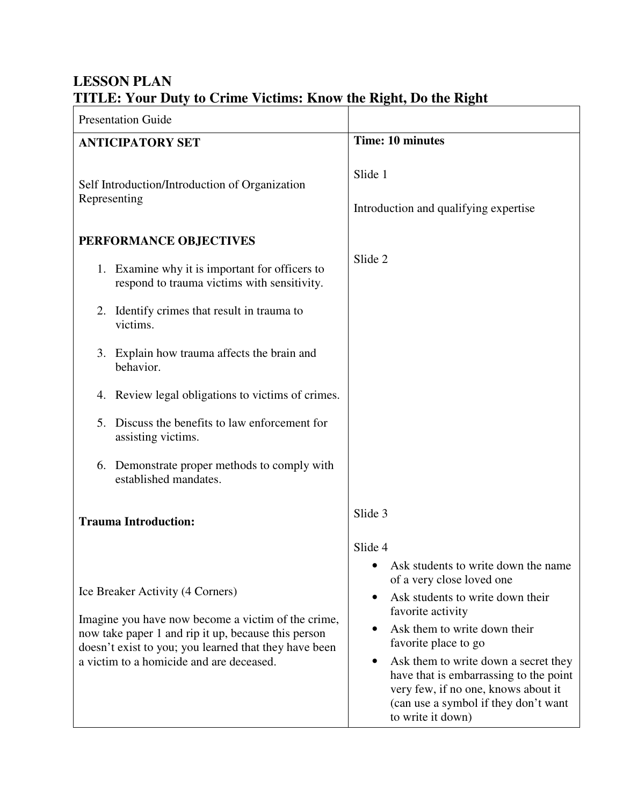# **LESSON PLAN TITLE: Your Duty to Crime Victims: Know the Right, Do the Right**

| <b>Presentation Guide</b>                                                                                                                                                                                                                          |                                                                                                                                                                                                                                                                                                                                                                                                               |
|----------------------------------------------------------------------------------------------------------------------------------------------------------------------------------------------------------------------------------------------------|---------------------------------------------------------------------------------------------------------------------------------------------------------------------------------------------------------------------------------------------------------------------------------------------------------------------------------------------------------------------------------------------------------------|
| <b>ANTICIPATORY SET</b>                                                                                                                                                                                                                            | <b>Time: 10 minutes</b>                                                                                                                                                                                                                                                                                                                                                                                       |
| Self Introduction/Introduction of Organization<br>Representing                                                                                                                                                                                     | Slide 1<br>Introduction and qualifying expertise                                                                                                                                                                                                                                                                                                                                                              |
| PERFORMANCE OBJECTIVES                                                                                                                                                                                                                             |                                                                                                                                                                                                                                                                                                                                                                                                               |
| 1. Examine why it is important for officers to<br>respond to trauma victims with sensitivity.                                                                                                                                                      | Slide 2                                                                                                                                                                                                                                                                                                                                                                                                       |
| 2. Identify crimes that result in trauma to<br>victims.                                                                                                                                                                                            |                                                                                                                                                                                                                                                                                                                                                                                                               |
| 3. Explain how trauma affects the brain and<br>behavior.                                                                                                                                                                                           |                                                                                                                                                                                                                                                                                                                                                                                                               |
| 4. Review legal obligations to victims of crimes.                                                                                                                                                                                                  |                                                                                                                                                                                                                                                                                                                                                                                                               |
| Discuss the benefits to law enforcement for<br>5.<br>assisting victims.                                                                                                                                                                            |                                                                                                                                                                                                                                                                                                                                                                                                               |
| 6. Demonstrate proper methods to comply with<br>established mandates.                                                                                                                                                                              |                                                                                                                                                                                                                                                                                                                                                                                                               |
| <b>Trauma Introduction:</b>                                                                                                                                                                                                                        | Slide 3                                                                                                                                                                                                                                                                                                                                                                                                       |
| Ice Breaker Activity (4 Corners)<br>Imagine you have now become a victim of the crime,<br>now take paper 1 and rip it up, because this person<br>doesn't exist to you; you learned that they have been<br>a victim to a homicide and are deceased. | Slide 4<br>Ask students to write down the name.<br>of a very close loved one<br>Ask students to write down their<br>$\bullet$<br>favorite activity<br>Ask them to write down their<br>favorite place to go<br>Ask them to write down a secret they<br>$\bullet$<br>have that is embarrassing to the point<br>very few, if no one, knows about it<br>(can use a symbol if they don't want<br>to write it down) |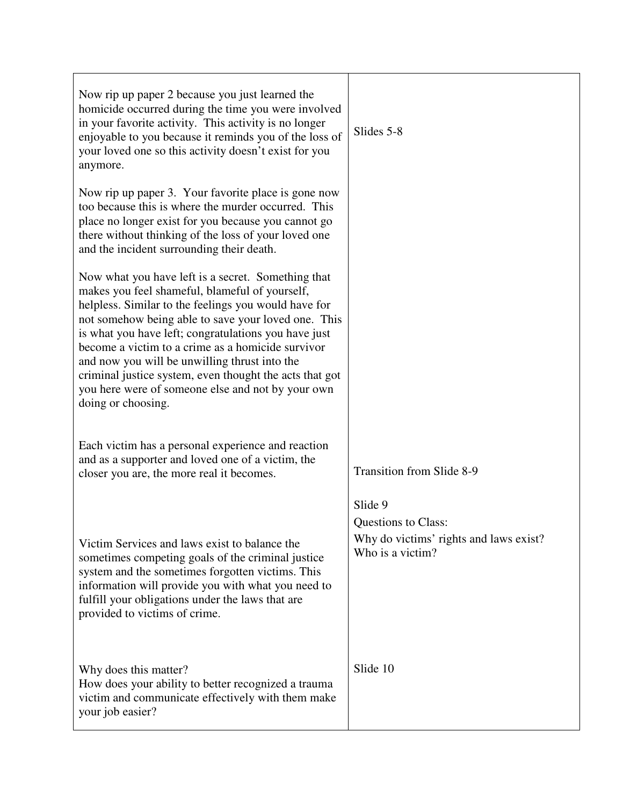| Now rip up paper 2 because you just learned the<br>homicide occurred during the time you were involved<br>in your favorite activity. This activity is no longer<br>enjoyable to you because it reminds you of the loss of<br>your loved one so this activity doesn't exist for you<br>anymore.                                                                                                                                                                                                                          | Slides 5-8                                                                                   |
|-------------------------------------------------------------------------------------------------------------------------------------------------------------------------------------------------------------------------------------------------------------------------------------------------------------------------------------------------------------------------------------------------------------------------------------------------------------------------------------------------------------------------|----------------------------------------------------------------------------------------------|
| Now rip up paper 3. Your favorite place is gone now<br>too because this is where the murder occurred. This<br>place no longer exist for you because you cannot go<br>there without thinking of the loss of your loved one<br>and the incident surrounding their death.                                                                                                                                                                                                                                                  |                                                                                              |
| Now what you have left is a secret. Something that<br>makes you feel shameful, blameful of yourself,<br>helpless. Similar to the feelings you would have for<br>not somehow being able to save your loved one. This<br>is what you have left; congratulations you have just<br>become a victim to a crime as a homicide survivor<br>and now you will be unwilling thrust into the<br>criminal justice system, even thought the acts that got<br>you here were of someone else and not by your own<br>doing or choosing. |                                                                                              |
| Each victim has a personal experience and reaction<br>and as a supporter and loved one of a victim, the<br>closer you are, the more real it becomes.                                                                                                                                                                                                                                                                                                                                                                    | Transition from Slide 8-9                                                                    |
| Victim Services and laws exist to balance the<br>sometimes competing goals of the criminal justice<br>system and the sometimes forgotten victims. This<br>information will provide you with what you need to<br>fulfill your obligations under the laws that are<br>provided to victims of crime.                                                                                                                                                                                                                       | Slide 9<br>Questions to Class:<br>Why do victims' rights and laws exist?<br>Who is a victim? |
| Why does this matter?<br>How does your ability to better recognized a trauma<br>victim and communicate effectively with them make<br>your job easier?                                                                                                                                                                                                                                                                                                                                                                   | Slide 10                                                                                     |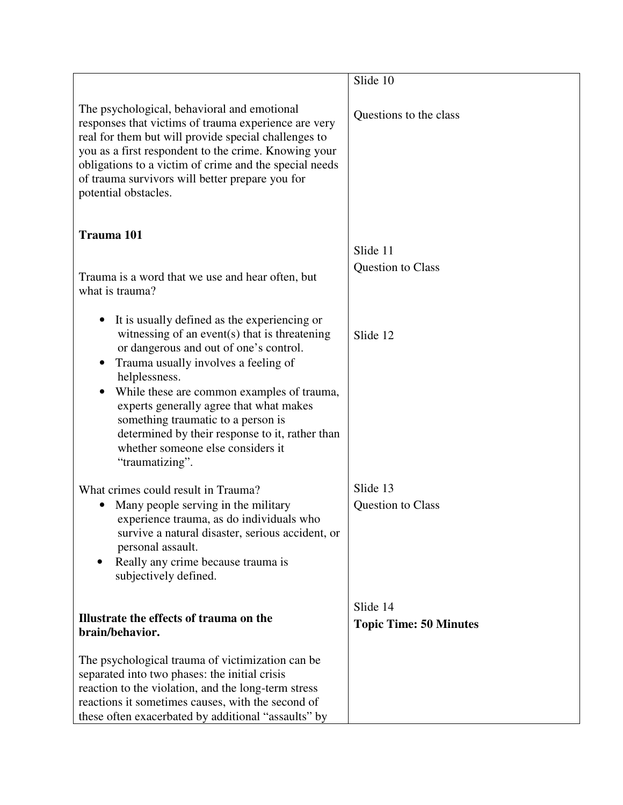|                                                                                                                                                                                                                                                                                                                                                          | Slide 10                      |
|----------------------------------------------------------------------------------------------------------------------------------------------------------------------------------------------------------------------------------------------------------------------------------------------------------------------------------------------------------|-------------------------------|
| The psychological, behavioral and emotional<br>responses that victims of trauma experience are very<br>real for them but will provide special challenges to<br>you as a first respondent to the crime. Knowing your<br>obligations to a victim of crime and the special needs<br>of trauma survivors will better prepare you for<br>potential obstacles. | Questions to the class        |
| <b>Trauma 101</b>                                                                                                                                                                                                                                                                                                                                        |                               |
|                                                                                                                                                                                                                                                                                                                                                          | Slide 11                      |
| Trauma is a word that we use and hear often, but<br>what is trauma?                                                                                                                                                                                                                                                                                      | Question to Class             |
| It is usually defined as the experiencing or<br>$\bullet$<br>witnessing of an event(s) that is threatening<br>or dangerous and out of one's control.<br>Trauma usually involves a feeling of<br>$\bullet$<br>helplessness.<br>While these are common examples of trauma,<br>$\bullet$                                                                    | Slide 12                      |
| experts generally agree that what makes<br>something traumatic to a person is<br>determined by their response to it, rather than<br>whether someone else considers it<br>"traumatizing".                                                                                                                                                                 |                               |
| What crimes could result in Trauma?                                                                                                                                                                                                                                                                                                                      | Slide 13                      |
| Many people serving in the military<br>experience trauma, as do individuals who<br>survive a natural disaster, serious accident, or<br>personal assault.<br>Really any crime because trauma is<br>subjectively defined.                                                                                                                                  | Question to Class             |
|                                                                                                                                                                                                                                                                                                                                                          | Slide 14                      |
| Illustrate the effects of trauma on the<br>brain/behavior.                                                                                                                                                                                                                                                                                               | <b>Topic Time: 50 Minutes</b> |
| The psychological trauma of victimization can be<br>separated into two phases: the initial crisis<br>reaction to the violation, and the long-term stress<br>reactions it sometimes causes, with the second of<br>these often exacerbated by additional "assaults" by                                                                                     |                               |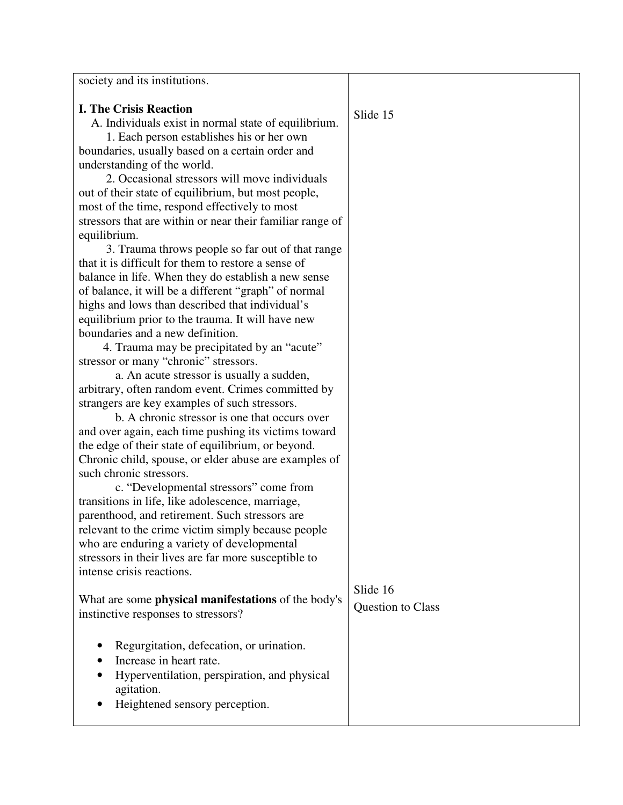| society and its institutions.                                                                                       |                   |
|---------------------------------------------------------------------------------------------------------------------|-------------------|
| <b>I. The Crisis Reaction</b><br>A. Individuals exist in normal state of equilibrium.                               | Slide 15          |
| 1. Each person establishes his or her own<br>boundaries, usually based on a certain order and                       |                   |
| understanding of the world.<br>2. Occasional stressors will move individuals                                        |                   |
| out of their state of equilibrium, but most people,<br>most of the time, respond effectively to most                |                   |
| stressors that are within or near their familiar range of<br>equilibrium.                                           |                   |
| 3. Trauma throws people so far out of that range<br>that it is difficult for them to restore a sense of             |                   |
| balance in life. When they do establish a new sense                                                                 |                   |
| of balance, it will be a different "graph" of normal<br>highs and lows than described that individual's             |                   |
| equilibrium prior to the trauma. It will have new<br>boundaries and a new definition.                               |                   |
| 4. Trauma may be precipitated by an "acute"<br>stressor or many "chronic" stressors.                                |                   |
| a. An acute stressor is usually a sudden,<br>arbitrary, often random event. Crimes committed by                     |                   |
| strangers are key examples of such stressors.                                                                       |                   |
| b. A chronic stressor is one that occurs over<br>and over again, each time pushing its victims toward               |                   |
| the edge of their state of equilibrium, or beyond.<br>Chronic child, spouse, or elder abuse are examples of         |                   |
| such chronic stressors.<br>c. "Developmental stressors" come from                                                   |                   |
| transitions in life, like adolescence, marriage,<br>parenthood, and retirement. Such stressors are                  |                   |
| relevant to the crime victim simply because people                                                                  |                   |
| who are enduring a variety of developmental<br>stressors in their lives are far more susceptible to                 |                   |
| intense crisis reactions.                                                                                           | Slide 16          |
| What are some <b>physical manifestations</b> of the body's<br>instinctive responses to stressors?                   | Question to Class |
| Regurgitation, defecation, or urination.<br>Increase in heart rate.<br>Hyperventilation, perspiration, and physical |                   |
| agitation.<br>Heightened sensory perception.                                                                        |                   |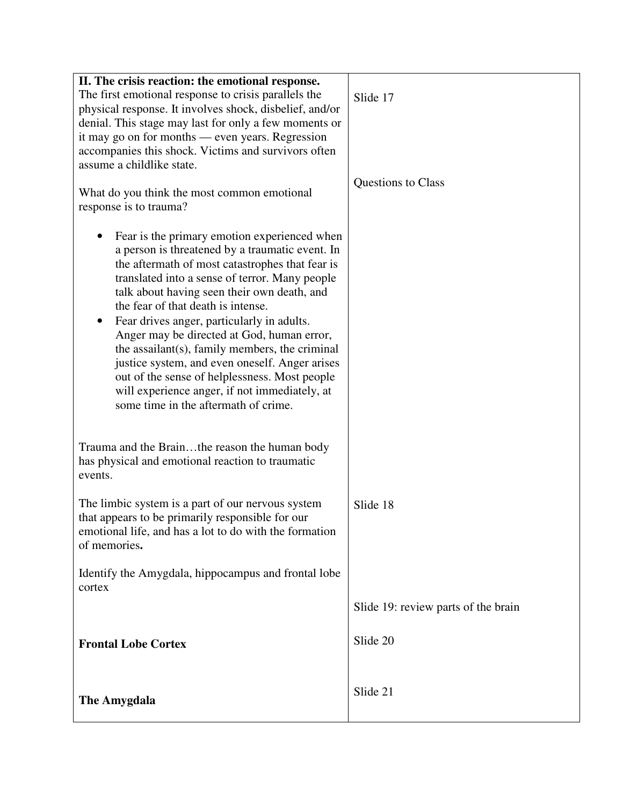| II. The crisis reaction: the emotional response.<br>The first emotional response to crisis parallels the<br>physical response. It involves shock, disbelief, and/or<br>denial. This stage may last for only a few moments or<br>it may go on for months — even years. Regression<br>accompanies this shock. Victims and survivors often<br>assume a childlike state.<br>What do you think the most common emotional<br>response is to trauma?                                                                                                                                                                                       | Slide 17<br>Questions to Class      |
|-------------------------------------------------------------------------------------------------------------------------------------------------------------------------------------------------------------------------------------------------------------------------------------------------------------------------------------------------------------------------------------------------------------------------------------------------------------------------------------------------------------------------------------------------------------------------------------------------------------------------------------|-------------------------------------|
| Fear is the primary emotion experienced when<br>a person is threatened by a traumatic event. In<br>the aftermath of most catastrophes that fear is<br>translated into a sense of terror. Many people<br>talk about having seen their own death, and<br>the fear of that death is intense.<br>Fear drives anger, particularly in adults.<br>Anger may be directed at God, human error,<br>the assailant(s), family members, the criminal<br>justice system, and even oneself. Anger arises<br>out of the sense of helplessness. Most people<br>will experience anger, if not immediately, at<br>some time in the aftermath of crime. |                                     |
| Trauma and the Brainthe reason the human body<br>has physical and emotional reaction to traumatic<br>events.                                                                                                                                                                                                                                                                                                                                                                                                                                                                                                                        |                                     |
| The limbic system is a part of our nervous system<br>that appears to be primarily responsible for our<br>emotional life, and has a lot to do with the formation<br>of memories.                                                                                                                                                                                                                                                                                                                                                                                                                                                     | Slide 18                            |
| Identify the Amygdala, hippocampus and frontal lobe<br>cortex                                                                                                                                                                                                                                                                                                                                                                                                                                                                                                                                                                       |                                     |
|                                                                                                                                                                                                                                                                                                                                                                                                                                                                                                                                                                                                                                     | Slide 19: review parts of the brain |
| <b>Frontal Lobe Cortex</b>                                                                                                                                                                                                                                                                                                                                                                                                                                                                                                                                                                                                          | Slide 20                            |
| The Amygdala                                                                                                                                                                                                                                                                                                                                                                                                                                                                                                                                                                                                                        | Slide 21                            |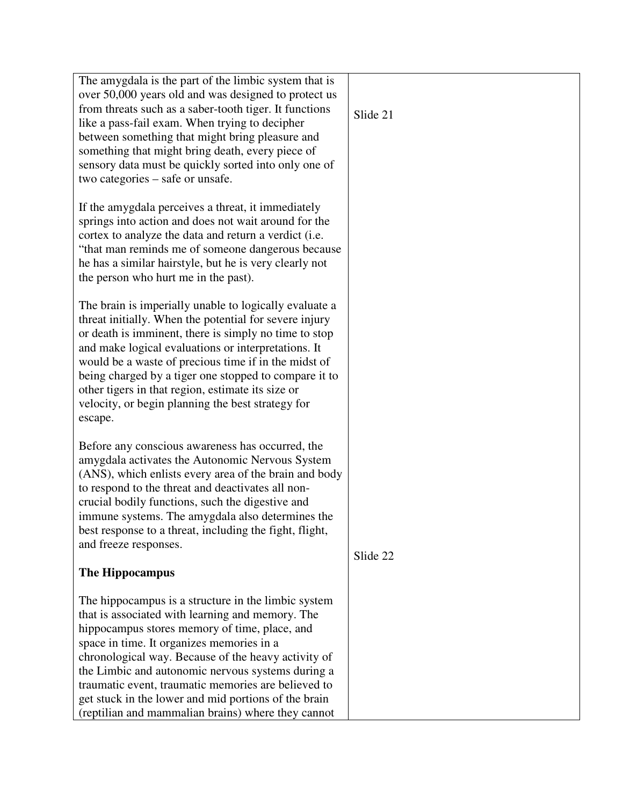| The amygdala is the part of the limbic system that is<br>over 50,000 years old and was designed to protect us<br>from threats such as a saber-tooth tiger. It functions<br>like a pass-fail exam. When trying to decipher<br>between something that might bring pleasure and<br>something that might bring death, every piece of<br>sensory data must be quickly sorted into only one of<br>two categories – safe or unsafe.                                                           | Slide 21 |
|----------------------------------------------------------------------------------------------------------------------------------------------------------------------------------------------------------------------------------------------------------------------------------------------------------------------------------------------------------------------------------------------------------------------------------------------------------------------------------------|----------|
| If the amygdala perceives a threat, it immediately<br>springs into action and does not wait around for the<br>cortex to analyze the data and return a verdict (i.e.<br>"that man reminds me of someone dangerous because<br>he has a similar hairstyle, but he is very clearly not<br>the person who hurt me in the past).                                                                                                                                                             |          |
| The brain is imperially unable to logically evaluate a<br>threat initially. When the potential for severe injury<br>or death is imminent, there is simply no time to stop<br>and make logical evaluations or interpretations. It<br>would be a waste of precious time if in the midst of<br>being charged by a tiger one stopped to compare it to<br>other tigers in that region, estimate its size or<br>velocity, or begin planning the best strategy for<br>escape.                 |          |
| Before any conscious awareness has occurred, the<br>amygdala activates the Autonomic Nervous System<br>(ANS), which enlists every area of the brain and body<br>to respond to the threat and deactivates all non-<br>crucial bodily functions, such the digestive and<br>immune systems. The amygdala also determines the<br>best response to a threat, including the fight, flight,<br>and freeze responses.                                                                          |          |
| The Hippocampus                                                                                                                                                                                                                                                                                                                                                                                                                                                                        | Slide 22 |
| The hippocampus is a structure in the limbic system<br>that is associated with learning and memory. The<br>hippocampus stores memory of time, place, and<br>space in time. It organizes memories in a<br>chronological way. Because of the heavy activity of<br>the Limbic and autonomic nervous systems during a<br>traumatic event, traumatic memories are believed to<br>get stuck in the lower and mid portions of the brain<br>(reptilian and mammalian brains) where they cannot |          |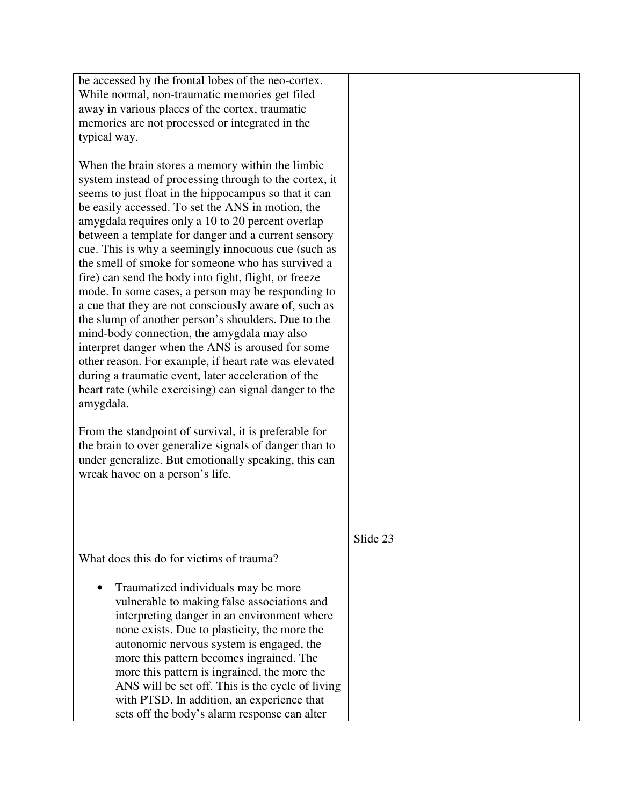| be accessed by the frontal lobes of the neo-cortex.                                                      |          |
|----------------------------------------------------------------------------------------------------------|----------|
| While normal, non-traumatic memories get filed                                                           |          |
| away in various places of the cortex, traumatic                                                          |          |
| memories are not processed or integrated in the                                                          |          |
| typical way.                                                                                             |          |
| When the brain stores a memory within the limbic                                                         |          |
| system instead of processing through to the cortex, it                                                   |          |
| seems to just float in the hippocampus so that it can                                                    |          |
| be easily accessed. To set the ANS in motion, the                                                        |          |
| amygdala requires only a 10 to 20 percent overlap                                                        |          |
| between a template for danger and a current sensory                                                      |          |
| cue. This is why a seemingly innocuous cue (such as<br>the smell of smoke for someone who has survived a |          |
| fire) can send the body into fight, flight, or freeze                                                    |          |
| mode. In some cases, a person may be responding to                                                       |          |
| a cue that they are not consciously aware of, such as                                                    |          |
| the slump of another person's shoulders. Due to the                                                      |          |
| mind-body connection, the amygdala may also                                                              |          |
| interpret danger when the ANS is aroused for some                                                        |          |
| other reason. For example, if heart rate was elevated                                                    |          |
| during a traumatic event, later acceleration of the                                                      |          |
| heart rate (while exercising) can signal danger to the                                                   |          |
| amygdala.                                                                                                |          |
| From the standpoint of survival, it is preferable for                                                    |          |
| the brain to over generalize signals of danger than to                                                   |          |
| under generalize. But emotionally speaking, this can                                                     |          |
| wreak havoc on a person's life.                                                                          |          |
|                                                                                                          |          |
|                                                                                                          |          |
|                                                                                                          |          |
|                                                                                                          | Slide 23 |
| What does this do for victims of trauma?                                                                 |          |
|                                                                                                          |          |
| Traumatized individuals may be more                                                                      |          |
| vulnerable to making false associations and                                                              |          |
| interpreting danger in an environment where                                                              |          |
| none exists. Due to plasticity, the more the                                                             |          |
| autonomic nervous system is engaged, the                                                                 |          |
| more this pattern becomes ingrained. The                                                                 |          |
| more this pattern is ingrained, the more the                                                             |          |
| ANS will be set off. This is the cycle of living<br>with PTSD. In addition, an experience that           |          |
| sets off the body's alarm response can alter                                                             |          |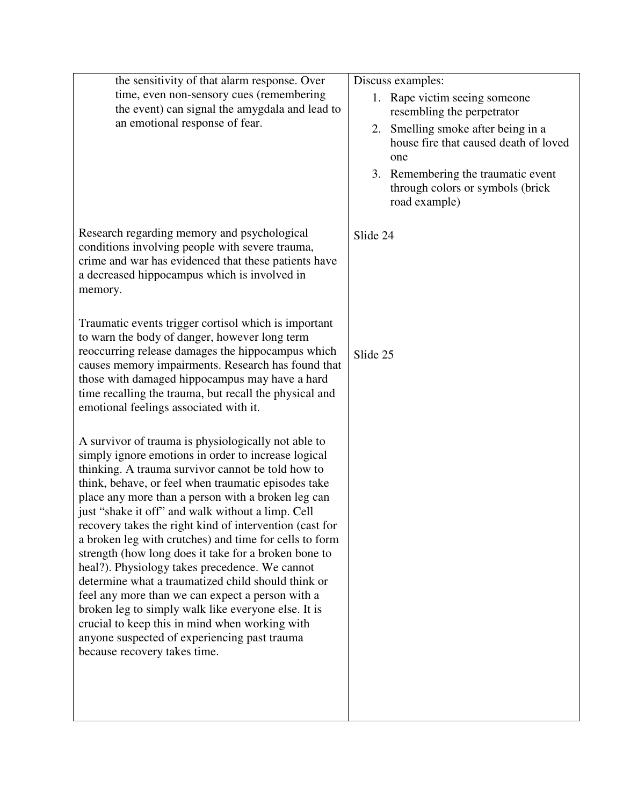| the sensitivity of that alarm response. Over<br>time, even non-sensory cues (remembering<br>the event) can signal the amygdala and lead to<br>an emotional response of fear.                                                                                                                                                                                                                                                                                                                                                                                                                                                                                                                                                                                                                                                                                        | Discuss examples:<br>1. Rape victim seeing someone<br>resembling the perpetrator<br>Smelling smoke after being in a<br>2.<br>house fire that caused death of loved<br>one<br>3. Remembering the traumatic event<br>through colors or symbols (brick<br>road example) |
|---------------------------------------------------------------------------------------------------------------------------------------------------------------------------------------------------------------------------------------------------------------------------------------------------------------------------------------------------------------------------------------------------------------------------------------------------------------------------------------------------------------------------------------------------------------------------------------------------------------------------------------------------------------------------------------------------------------------------------------------------------------------------------------------------------------------------------------------------------------------|----------------------------------------------------------------------------------------------------------------------------------------------------------------------------------------------------------------------------------------------------------------------|
| Research regarding memory and psychological<br>conditions involving people with severe trauma,<br>crime and war has evidenced that these patients have<br>a decreased hippocampus which is involved in<br>memory.                                                                                                                                                                                                                                                                                                                                                                                                                                                                                                                                                                                                                                                   | Slide 24                                                                                                                                                                                                                                                             |
| Traumatic events trigger cortisol which is important<br>to warn the body of danger, however long term<br>reoccurring release damages the hippocampus which<br>causes memory impairments. Research has found that<br>those with damaged hippocampus may have a hard<br>time recalling the trauma, but recall the physical and<br>emotional feelings associated with it.                                                                                                                                                                                                                                                                                                                                                                                                                                                                                              | Slide 25                                                                                                                                                                                                                                                             |
| A survivor of trauma is physiologically not able to<br>simply ignore emotions in order to increase logical<br>thinking. A trauma survivor cannot be told how to<br>think, behave, or feel when traumatic episodes take<br>place any more than a person with a broken leg can<br>just "shake it off" and walk without a limp. Cell<br>recovery takes the right kind of intervention (cast for<br>a broken leg with crutches) and time for cells to form<br>strength (how long does it take for a broken bone to<br>heal?). Physiology takes precedence. We cannot<br>determine what a traumatized child should think or<br>feel any more than we can expect a person with a<br>broken leg to simply walk like everyone else. It is<br>crucial to keep this in mind when working with<br>anyone suspected of experiencing past trauma<br>because recovery takes time. |                                                                                                                                                                                                                                                                      |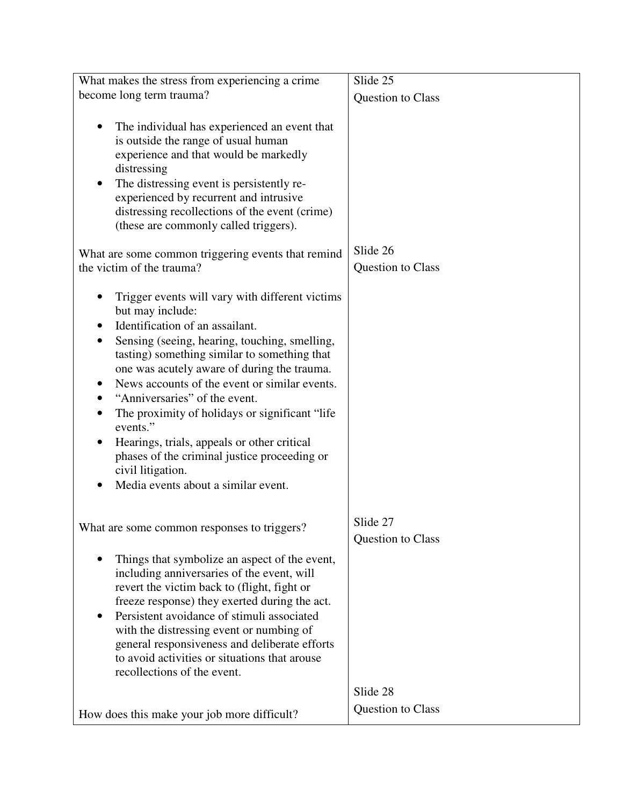| What makes the stress from experiencing a crime                                                                                                                                                                                                                                                                                                                                                                                                                                                                                                                    | Slide 25          |
|--------------------------------------------------------------------------------------------------------------------------------------------------------------------------------------------------------------------------------------------------------------------------------------------------------------------------------------------------------------------------------------------------------------------------------------------------------------------------------------------------------------------------------------------------------------------|-------------------|
| become long term trauma?                                                                                                                                                                                                                                                                                                                                                                                                                                                                                                                                           | Question to Class |
| The individual has experienced an event that<br>is outside the range of usual human<br>experience and that would be markedly<br>distressing<br>The distressing event is persistently re-<br>experienced by recurrent and intrusive<br>distressing recollections of the event (crime)<br>(these are commonly called triggers).                                                                                                                                                                                                                                      |                   |
| What are some common triggering events that remind                                                                                                                                                                                                                                                                                                                                                                                                                                                                                                                 | Slide 26          |
| the victim of the trauma?                                                                                                                                                                                                                                                                                                                                                                                                                                                                                                                                          | Question to Class |
| Trigger events will vary with different victims<br>but may include:<br>Identification of an assailant.<br>Sensing (seeing, hearing, touching, smelling,<br>tasting) something similar to something that<br>one was acutely aware of during the trauma.<br>News accounts of the event or similar events.<br>"Anniversaries" of the event.<br>The proximity of holidays or significant "life"<br>events."<br>Hearings, trials, appeals or other critical<br>phases of the criminal justice proceeding or<br>civil litigation.<br>Media events about a similar event. |                   |
| What are some common responses to triggers?                                                                                                                                                                                                                                                                                                                                                                                                                                                                                                                        | Slide 27          |
|                                                                                                                                                                                                                                                                                                                                                                                                                                                                                                                                                                    | Question to Class |
| Things that symbolize an aspect of the event,<br>including anniversaries of the event, will<br>revert the victim back to (flight, fight or<br>freeze response) they exerted during the act.<br>Persistent avoidance of stimuli associated<br>with the distressing event or numbing of<br>general responsiveness and deliberate efforts<br>to avoid activities or situations that arouse<br>recollections of the event.                                                                                                                                             |                   |
|                                                                                                                                                                                                                                                                                                                                                                                                                                                                                                                                                                    | Slide 28          |
| How does this make your job more difficult?                                                                                                                                                                                                                                                                                                                                                                                                                                                                                                                        | Question to Class |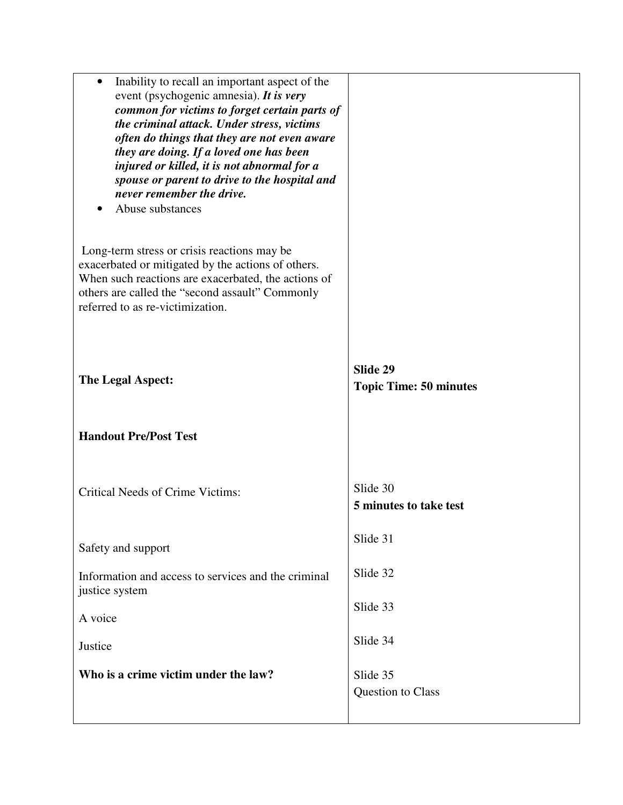| Inability to recall an important aspect of the<br>event (psychogenic amnesia). It is very<br>common for victims to forget certain parts of<br>the criminal attack. Under stress, victims<br>often do things that they are not even aware<br>they are doing. If a loved one has been<br>injured or killed, it is not abnormal for a<br>spouse or parent to drive to the hospital and<br>never remember the drive.<br>Abuse substances |                                           |
|--------------------------------------------------------------------------------------------------------------------------------------------------------------------------------------------------------------------------------------------------------------------------------------------------------------------------------------------------------------------------------------------------------------------------------------|-------------------------------------------|
| Long-term stress or crisis reactions may be<br>exacerbated or mitigated by the actions of others.<br>When such reactions are exacerbated, the actions of<br>others are called the "second assault" Commonly<br>referred to as re-victimization.                                                                                                                                                                                      |                                           |
| The Legal Aspect:                                                                                                                                                                                                                                                                                                                                                                                                                    | Slide 29<br><b>Topic Time: 50 minutes</b> |
| <b>Handout Pre/Post Test</b>                                                                                                                                                                                                                                                                                                                                                                                                         |                                           |
| Critical Needs of Crime Victims:                                                                                                                                                                                                                                                                                                                                                                                                     | Slide 30<br>5 minutes to take test        |
| Safety and support                                                                                                                                                                                                                                                                                                                                                                                                                   | Slide 31                                  |
| Information and access to services and the criminal<br>justice system                                                                                                                                                                                                                                                                                                                                                                | Slide 32                                  |
| A voice                                                                                                                                                                                                                                                                                                                                                                                                                              | Slide 33                                  |
| Justice                                                                                                                                                                                                                                                                                                                                                                                                                              | Slide 34                                  |
| Who is a crime victim under the law?                                                                                                                                                                                                                                                                                                                                                                                                 | Slide 35<br>Question to Class             |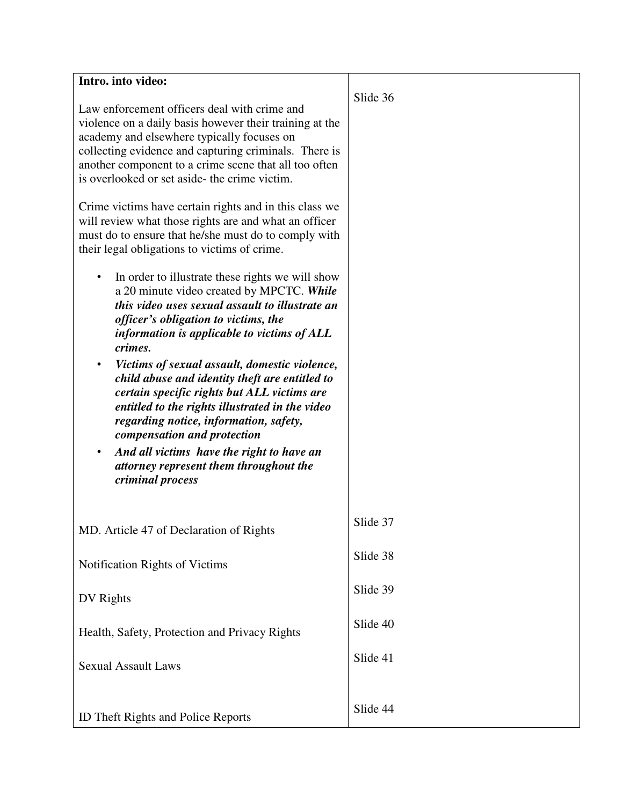| Intro. into video:<br>Law enforcement officers deal with crime and<br>violence on a daily basis however their training at the<br>academy and elsewhere typically focuses on<br>collecting evidence and capturing criminals. There is<br>another component to a crime scene that all too often<br>is overlooked or set aside- the crime victim.<br>Crime victims have certain rights and in this class we<br>will review what those rights are and what an officer<br>must do to ensure that he/she must do to comply with<br>their legal obligations to victims of crime.<br>In order to illustrate these rights we will show<br>٠<br>a 20 minute video created by MPCTC. While<br>this video uses sexual assault to illustrate an<br>officer's obligation to victims, the<br>information is applicable to victims of ALL<br>crimes.<br>Victims of sexual assault, domestic violence,<br>child abuse and identity theft are entitled to<br>certain specific rights but ALL victims are<br>entitled to the rights illustrated in the video<br>regarding notice, information, safety,<br>compensation and protection<br>And all victims have the right to have an<br>$\bullet$<br>attorney represent them throughout the | Slide 36 |
|------------------------------------------------------------------------------------------------------------------------------------------------------------------------------------------------------------------------------------------------------------------------------------------------------------------------------------------------------------------------------------------------------------------------------------------------------------------------------------------------------------------------------------------------------------------------------------------------------------------------------------------------------------------------------------------------------------------------------------------------------------------------------------------------------------------------------------------------------------------------------------------------------------------------------------------------------------------------------------------------------------------------------------------------------------------------------------------------------------------------------------------------------------------------------------------------------------------------|----------|
| criminal process<br>MD. Article 47 of Declaration of Rights                                                                                                                                                                                                                                                                                                                                                                                                                                                                                                                                                                                                                                                                                                                                                                                                                                                                                                                                                                                                                                                                                                                                                            | Slide 37 |
| Notification Rights of Victims                                                                                                                                                                                                                                                                                                                                                                                                                                                                                                                                                                                                                                                                                                                                                                                                                                                                                                                                                                                                                                                                                                                                                                                         | Slide 38 |
| DV Rights                                                                                                                                                                                                                                                                                                                                                                                                                                                                                                                                                                                                                                                                                                                                                                                                                                                                                                                                                                                                                                                                                                                                                                                                              | Slide 39 |
| Health, Safety, Protection and Privacy Rights                                                                                                                                                                                                                                                                                                                                                                                                                                                                                                                                                                                                                                                                                                                                                                                                                                                                                                                                                                                                                                                                                                                                                                          | Slide 40 |
| <b>Sexual Assault Laws</b>                                                                                                                                                                                                                                                                                                                                                                                                                                                                                                                                                                                                                                                                                                                                                                                                                                                                                                                                                                                                                                                                                                                                                                                             | Slide 41 |
| ID Theft Rights and Police Reports                                                                                                                                                                                                                                                                                                                                                                                                                                                                                                                                                                                                                                                                                                                                                                                                                                                                                                                                                                                                                                                                                                                                                                                     | Slide 44 |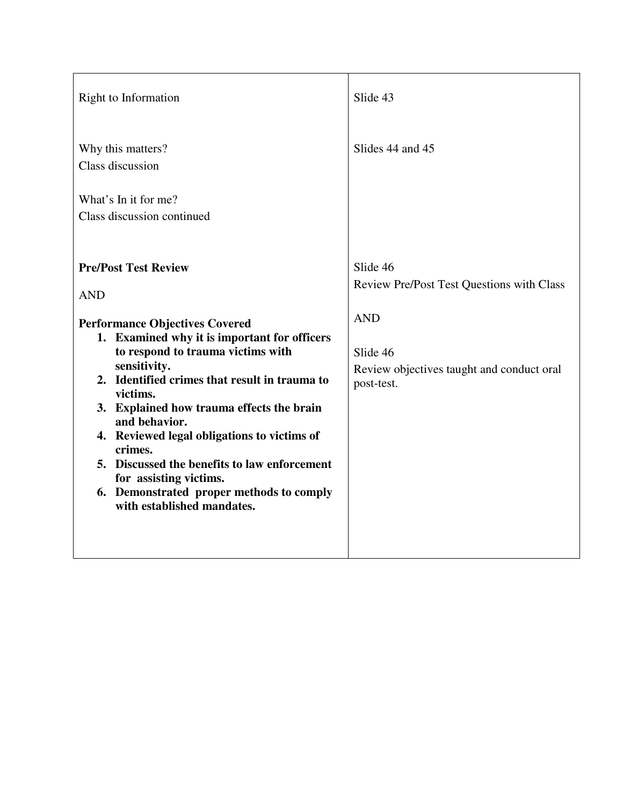| Right to Information                                                                                                                                                                                                                                                                                                                                                                                                                                                                                                             | Slide 43                                                                                                                                          |
|----------------------------------------------------------------------------------------------------------------------------------------------------------------------------------------------------------------------------------------------------------------------------------------------------------------------------------------------------------------------------------------------------------------------------------------------------------------------------------------------------------------------------------|---------------------------------------------------------------------------------------------------------------------------------------------------|
| Why this matters?<br>Class discussion<br>What's In it for me?<br>Class discussion continued                                                                                                                                                                                                                                                                                                                                                                                                                                      | Slides 44 and 45                                                                                                                                  |
| <b>Pre/Post Test Review</b><br><b>AND</b><br><b>Performance Objectives Covered</b><br>1. Examined why it is important for officers<br>to respond to trauma victims with<br>sensitivity.<br>2. Identified crimes that result in trauma to<br>victims.<br>3. Explained how trauma effects the brain<br>and behavior.<br>4. Reviewed legal obligations to victims of<br>crimes.<br>5. Discussed the benefits to law enforcement<br>for assisting victims.<br>6. Demonstrated proper methods to comply<br>with established mandates. | Slide 46<br><b>Review Pre/Post Test Questions with Class</b><br><b>AND</b><br>Slide 46<br>Review objectives taught and conduct oral<br>post-test. |